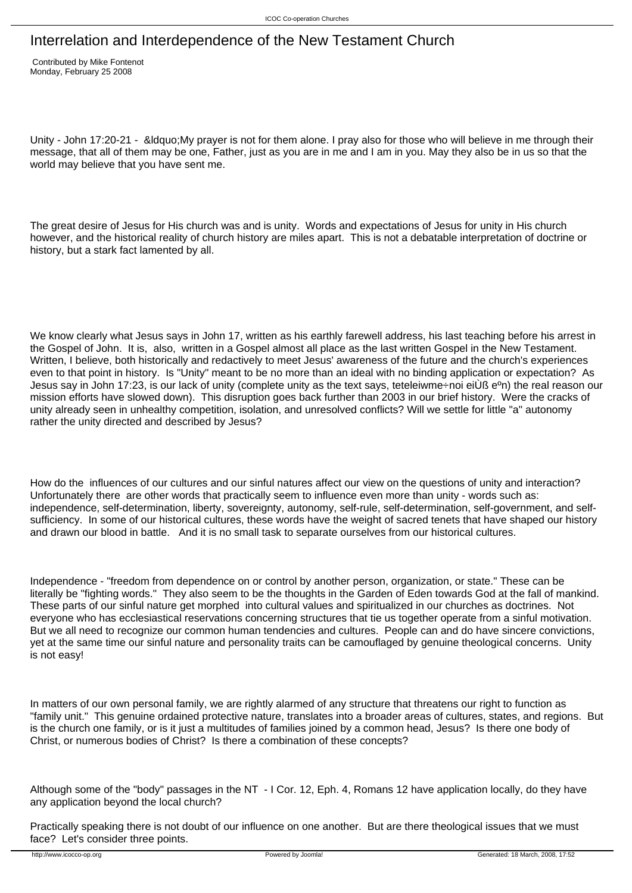# Interrelation and Interdependence of the New Testament Church

 Contributed by Mike Fontenot Monday, February 25 2008

Unity - John 17:20-21 - &Idquo; My prayer is not for them alone. I pray also for those who will believe in me through their message, that all of them may be one, Father, just as you are in me and I am in you. May they also be in us so that the world may believe that you have sent me.

The great desire of Jesus for His church was and is unity. Words and expectations of Jesus for unity in His church however, and the historical reality of church history are miles apart. This is not a debatable interpretation of doctrine or history, but a stark fact lamented by all.

We know clearly what Jesus says in John 17, written as his earthly farewell address, his last teaching before his arrest in the Gospel of John. It is, also, written in a Gospel almost all place as the last written Gospel in the New Testament. Written, I believe, both historically and redactively to meet Jesus' awareness of the future and the church's experiences even to that point in history. Is "Unity" meant to be no more than an ideal with no binding application or expectation? As Jesus say in John 17:23, is our lack of unity (complete unity as the text says, teteleiwme÷noi eiÙß e<sup>o</sup>n) the real reason our mission efforts have slowed down). This disruption goes back further than 2003 in our brief history. Were the cracks of unity already seen in unhealthy competition, isolation, and unresolved conflicts? Will we settle for little "a" autonomy rather the unity directed and described by Jesus?

How do the influences of our cultures and our sinful natures affect our view on the questions of unity and interaction? Unfortunately there are other words that practically seem to influence even more than unity - words such as: independence, self-determination, liberty, sovereignty, autonomy, self-rule, self-determination, self-government, and selfsufficiency. In some of our historical cultures, these words have the weight of sacred tenets that have shaped our history and drawn our blood in battle. And it is no small task to separate ourselves from our historical cultures.

Independence - "freedom from dependence on or control by another person, organization, or state." These can be literally be "fighting words." They also seem to be the thoughts in the Garden of Eden towards God at the fall of mankind. These parts of our sinful nature get morphed into cultural values and spiritualized in our churches as doctrines. Not everyone who has ecclesiastical reservations concerning structures that tie us together operate from a sinful motivation. But we all need to recognize our common human tendencies and cultures. People can and do have sincere convictions, yet at the same time our sinful nature and personality traits can be camouflaged by genuine theological concerns. Unity is not easy!

In matters of our own personal family, we are rightly alarmed of any structure that threatens our right to function as "family unit." This genuine ordained protective nature, translates into a broader areas of cultures, states, and regions. But is the church one family, or is it just a multitudes of families joined by a common head, Jesus? Is there one body of Christ, or numerous bodies of Christ? Is there a combination of these concepts?

Although some of the "body" passages in the NT - I Cor. 12, Eph. 4, Romans 12 have application locally, do they have any application beyond the local church?

Practically speaking there is not doubt of our influence on one another. But are there theological issues that we must face? Let's consider three points.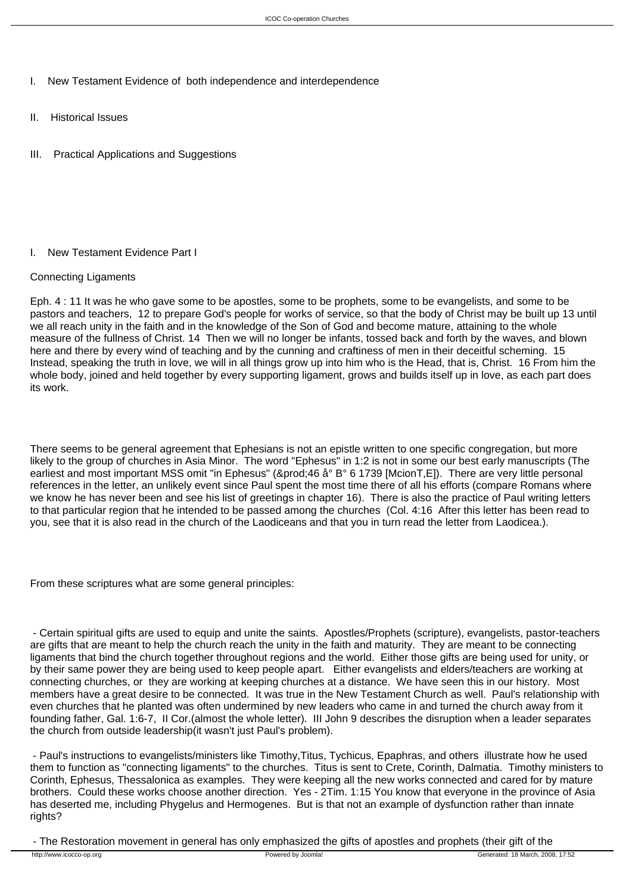- I. New Testament Evidence of both independence and interdependence
- II. Historical Issues
- III. Practical Applications and Suggestions

## I. New Testament Evidence Part I

## Connecting Ligaments

Eph. 4 : 11 It was he who gave some to be apostles, some to be prophets, some to be evangelists, and some to be pastors and teachers, 12 to prepare God's people for works of service, so that the body of Christ may be built up 13 until we all reach unity in the faith and in the knowledge of the Son of God and become mature, attaining to the whole measure of the fullness of Christ. 14 Then we will no longer be infants, tossed back and forth by the waves, and blown here and there by every wind of teaching and by the cunning and craftiness of men in their deceitful scheming. 15 Instead, speaking the truth in love, we will in all things grow up into him who is the Head, that is, Christ. 16 From him the whole body, joined and held together by every supporting ligament, grows and builds itself up in love, as each part does its work.

There seems to be general agreement that Ephesians is not an epistle written to one specific congregation, but more likely to the group of churches in Asia Minor. The word "Ephesus" in 1:2 is not in some our best early manuscripts (The earliest and most important MSS omit "in Ephesus" (&prod:46 å° B° 6 1739 [McionT,E]). There are very little personal references in the letter, an unlikely event since Paul spent the most time there of all his efforts (compare Romans where we know he has never been and see his list of greetings in chapter 16). There is also the practice of Paul writing letters to that particular region that he intended to be passed among the churches (Col. 4:16 After this letter has been read to you, see that it is also read in the church of the Laodiceans and that you in turn read the letter from Laodicea.).

From these scriptures what are some general principles:

 - Certain spiritual gifts are used to equip and unite the saints. Apostles/Prophets (scripture), evangelists, pastor-teachers are gifts that are meant to help the church reach the unity in the faith and maturity. They are meant to be connecting ligaments that bind the church together throughout regions and the world. Either those gifts are being used for unity, or by their same power they are being used to keep people apart. Either evangelists and elders/teachers are working at connecting churches, or they are working at keeping churches at a distance. We have seen this in our history. Most members have a great desire to be connected. It was true in the New Testament Church as well. Paul's relationship with even churches that he planted was often undermined by new leaders who came in and turned the church away from it founding father, Gal. 1:6-7, II Cor.(almost the whole letter). III John 9 describes the disruption when a leader separates the church from outside leadership(it wasn't just Paul's problem).

 - Paul's instructions to evangelists/ministers like Timothy,Titus, Tychicus, Epaphras, and others illustrate how he used them to function as "connecting ligaments" to the churches. Titus is sent to Crete, Corinth, Dalmatia. Timothy ministers to Corinth, Ephesus, Thessalonica as examples. They were keeping all the new works connected and cared for by mature brothers. Could these works choose another direction. Yes - 2Tim. 1:15 You know that everyone in the province of Asia has deserted me, including Phygelus and Hermogenes. But is that not an example of dysfunction rather than innate rights?

- The Restoration movement in general has only emphasized the gifts of apostles and prophets (their gift of the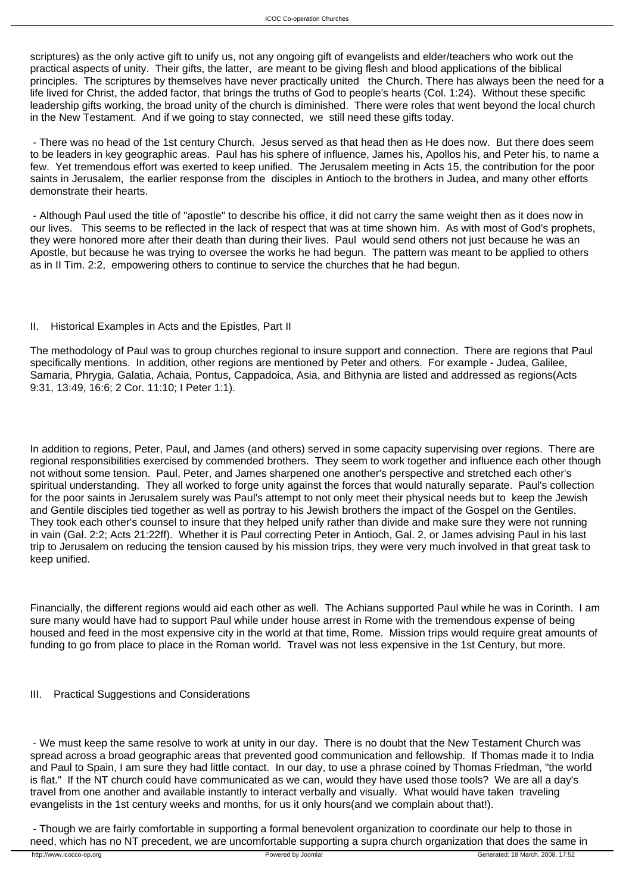scriptures) as the only active gift to unify us, not any ongoing gift of evangelists and elder/teachers who work out the practical aspects of unity. Their gifts, the latter, are meant to be giving flesh and blood applications of the biblical principles. The scriptures by themselves have never practically united the Church. There has always been the need for a life lived for Christ, the added factor, that brings the truths of God to people's hearts (Col. 1:24). Without these specific leadership gifts working, the broad unity of the church is diminished. There were roles that went beyond the local church in the New Testament. And if we going to stay connected, we still need these gifts today.

 - There was no head of the 1st century Church. Jesus served as that head then as He does now. But there does seem to be leaders in key geographic areas. Paul has his sphere of influence, James his, Apollos his, and Peter his, to name a few. Yet tremendous effort was exerted to keep unified. The Jerusalem meeting in Acts 15, the contribution for the poor saints in Jerusalem, the earlier response from the disciples in Antioch to the brothers in Judea, and many other efforts demonstrate their hearts.

 - Although Paul used the title of "apostle" to describe his office, it did not carry the same weight then as it does now in our lives. This seems to be reflected in the lack of respect that was at time shown him. As with most of God's prophets, they were honored more after their death than during their lives. Paul would send others not just because he was an Apostle, but because he was trying to oversee the works he had begun. The pattern was meant to be applied to others as in II Tim. 2:2, empowering others to continue to service the churches that he had begun.

#### II. Historical Examples in Acts and the Epistles, Part II

The methodology of Paul was to group churches regional to insure support and connection. There are regions that Paul specifically mentions. In addition, other regions are mentioned by Peter and others. For example - Judea, Galilee, Samaria, Phrygia, Galatia, Achaia, Pontus, Cappadoica, Asia, and Bithynia are listed and addressed as regions(Acts 9:31, 13:49, 16:6; 2 Cor. 11:10; I Peter 1:1).

In addition to regions, Peter, Paul, and James (and others) served in some capacity supervising over regions. There are regional responsibilities exercised by commended brothers. They seem to work together and influence each other though not without some tension. Paul, Peter, and James sharpened one another's perspective and stretched each other's spiritual understanding. They all worked to forge unity against the forces that would naturally separate. Paul's collection for the poor saints in Jerusalem surely was Paul's attempt to not only meet their physical needs but to keep the Jewish and Gentile disciples tied together as well as portray to his Jewish brothers the impact of the Gospel on the Gentiles. They took each other's counsel to insure that they helped unify rather than divide and make sure they were not running in vain (Gal. 2:2; Acts 21:22ff). Whether it is Paul correcting Peter in Antioch, Gal. 2, or James advising Paul in his last trip to Jerusalem on reducing the tension caused by his mission trips, they were very much involved in that great task to keep unified.

Financially, the different regions would aid each other as well. The Achians supported Paul while he was in Corinth. I am sure many would have had to support Paul while under house arrest in Rome with the tremendous expense of being housed and feed in the most expensive city in the world at that time, Rome. Mission trips would require great amounts of funding to go from place to place in the Roman world. Travel was not less expensive in the 1st Century, but more.

#### III. Practical Suggestions and Considerations

 - We must keep the same resolve to work at unity in our day. There is no doubt that the New Testament Church was spread across a broad geographic areas that prevented good communication and fellowship. If Thomas made it to India and Paul to Spain, I am sure they had little contact. In our day, to use a phrase coined by Thomas Friedman, "the world is flat." If the NT church could have communicated as we can, would they have used those tools? We are all a day's travel from one another and available instantly to interact verbally and visually. What would have taken traveling evangelists in the 1st century weeks and months, for us it only hours(and we complain about that!).

 - Though we are fairly comfortable in supporting a formal benevolent organization to coordinate our help to those in need, which has no NT precedent, we are uncomfortable supporting a supra church organization that does the same in